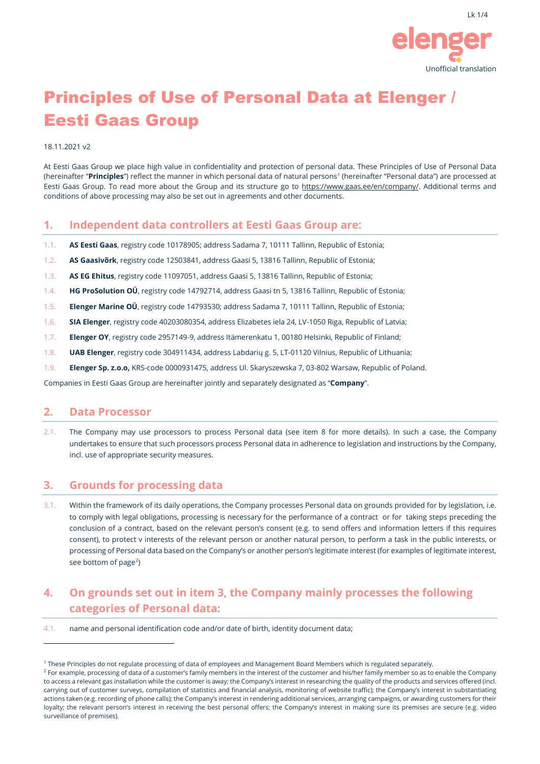

# Principles of Use of Personal Data at Elenger / Eesti Gaas Group

#### 18.11.2021 v2

At Eesti Gaas Group we place high value in confidentiality and protection of personal data. These Principles of Use of Personal Data (hereinafter "**Principles**") reflect the manner in which personal data of natural persons<sup>[1](#page-0-0)</sup> (hereinafter "Personal data") are processed at Eesti Gaas Group. To read more about the Group and its structure go t[o https://www.gaas.ee/en/company/.](https://www.gaas.ee/en/company/) Additional terms and conditions of above processing may also be set out in agreements and other documents.

#### **1. Independent data controllers at Eesti Gaas Group are:**

- 1.1. **AS Eesti Gaas**, registry code 10178905; address Sadama 7, 10111 Tallinn, Republic of Estonia;
- 1.2. **AS Gaasivõrk**, registry code 12503841, address Gaasi 5, 13816 Tallinn, Republic of Estonia;
- 1.3. **AS EG Ehitus**, registry code 11097051, address Gaasi 5, 13816 Tallinn, Republic of Estonia;
- 1.4. **HG ProSolution OÜ**, registry code 14792714, address Gaasi tn 5, 13816 Tallinn, Republic of Estonia;
- 1.5. **Elenger Marine OÜ**, registry code 14793530; address Sadama 7, 10111 Tallinn, Republic of Estonia;
- 1.6. **SIA Elenger**, registry code 40203080354, address Elizabetes iela 24, LV-1050 Riga, Republic of Latvia;
- 1.7. **Elenger OY**, registry code 2957149-9, address Itämerenkatu 1, 00180 Helsinki, Republic of Finland;
- 1.8. **UAB Elenger**, registry code 304911434, address Labdarių g. 5, LT-01120 Vilnius, Republic of Lithuania;
- 1.9. **Elenger Sp. z.o.o,** KRS-code 0000931475, address Ul. Skaryszewska 7, 03-802 Warsaw, Republic of Poland.

Companies in Eesti Gaas Group are hereinafter jointly and separately designated as "**Company**".

#### **2. Data Processor**

2.1. The Company may use processors to process Personal data (see item 8 for more details). In such a case, the Company undertakes to ensure that such processors process Personal data in adherence to legislation and instructions by the Company, incl. use of appropriate security measures.

### **3. Grounds for processing data**

3.1. Within the framework of its daily operations, the Company processes Personal data on grounds provided for by legislation, i.e. to comply with legal obligations, processing is necessary for the performance of a contract or for taking steps preceding the conclusion of a contract, based on the relevant person's consent (e.g. to send offers and information letters if this requires consent), to protect v interests of the relevant person or another natural person, to perform a task in the public interests, or processing of Personal data based on the Company's or another person's legitimate interest (for examples of legitimate interest, see bottom of page<sup>[2](#page-0-1)</sup>)

## **4. On grounds set out in item 3, the Company mainly processes the following categories of Personal data:**

4.1. name and personal identification code and/or date of birth, identity document data;

<span id="page-0-0"></span><sup>1</sup> These Principles do not regulate processing of data of employees and Management Board Members which is regulated separately.

<span id="page-0-1"></span><sup>&</sup>lt;sup>2</sup> For example, processing of data of a customer's family members in the interest of the customer and his/her family member so as to enable the Company to access a relevant gas installation while the customer is away; the Company's interest in researching the quality of the products and services offered (incl. carrying out of customer surveys, compilation of statistics and financial analysis, monitoring of website traffic); the Company's interest in substantiating actions taken (e.g. recording of phone calls); the Company's interest in rendering additional services, arranging campaigns, or awarding customers for their loyalty; the relevant person's interest in receiving the best personal offers; the Company's interest in making sure its premises are secure (e.g. video surveillance of premises).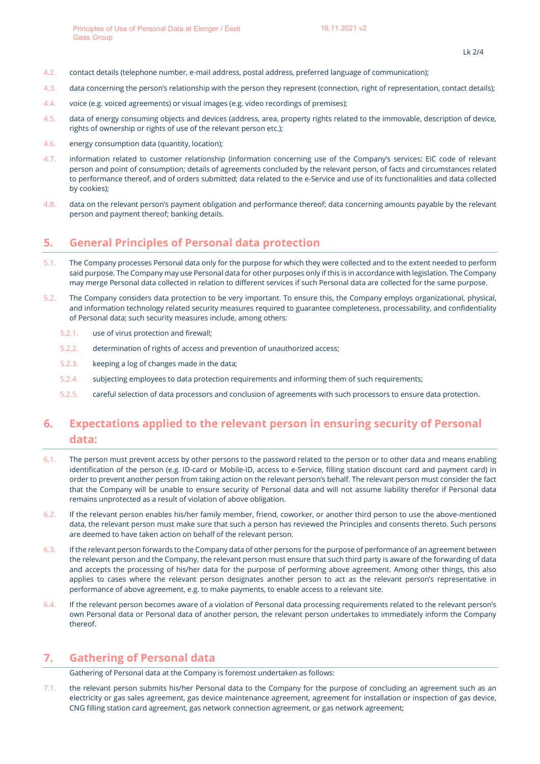- 4.2. contact details (telephone number, e-mail address, postal address, preferred language of communication);
- 4.3. data concerning the person's relationship with the person they represent (connection, right of representation, contact details);
- 4.4. voice (e.g. voiced agreements) or visual images (e.g. video recordings of premises);
- 4.5. data of energy consuming objects and devices (address, area, property rights related to the immovable, description of device, rights of ownership or rights of use of the relevant person etc.);
- 4.6. energy consumption data (quantity, location);
- 4.7. information related to customer relationship (information concerning use of the Company's services; EIC code of relevant person and point of consumption; details of agreements concluded by the relevant person, of facts and circumstances related to performance thereof, and of orders submitted; data related to the e-Service and use of its functionalities and data collected by cookies);
- 4.8. data on the relevant person's payment obligation and performance thereof; data concerning amounts payable by the relevant person and payment thereof; banking details.

### **5. General Principles of Personal data protection**

- 5.1. The Company processes Personal data only for the purpose for which they were collected and to the extent needed to perform said purpose. The Company may use Personal data for other purposes only if this is in accordance with legislation. The Company may merge Personal data collected in relation to different services if such Personal data are collected for the same purpose.
- 5.2. The Company considers data protection to be very important. To ensure this, the Company employs organizational, physical, and information technology related security measures required to guarantee completeness, processability, and confidentiality of Personal data; such security measures include, among others:
	- 5.2.1. use of virus protection and firewall;
	- 5.2.2. determination of rights of access and prevention of unauthorized access;
	- 5.2.3. keeping a log of changes made in the data;
	- 5.2.4. subjecting employees to data protection requirements and informing them of such requirements;
	- 5.2.5. careful selection of data processors and conclusion of agreements with such processors to ensure data protection.

# **6. Expectations applied to the relevant person in ensuring security of Personal data:**

- 6.1. The person must prevent access by other persons to the password related to the person or to other data and means enabling identification of the person (e.g. ID-card or Mobile-ID, access to e-Service, filling station discount card and payment card) in order to prevent another person from taking action on the relevant person's behalf. The relevant person must consider the fact that the Company will be unable to ensure security of Personal data and will not assume liability therefor if Personal data remains unprotected as a result of violation of above obligation.
- 6.2. If the relevant person enables his/her family member, friend, coworker, or another third person to use the above-mentioned data, the relevant person must make sure that such a person has reviewed the Principles and consents thereto. Such persons are deemed to have taken action on behalf of the relevant person.
- 6.3. If the relevant person forwards to the Company data of other persons for the purpose of performance of an agreement between the relevant person and the Company, the relevant person must ensure that such third party is aware of the forwarding of data and accepts the processing of his/her data for the purpose of performing above agreement. Among other things, this also applies to cases where the relevant person designates another person to act as the relevant person's representative in performance of above agreement, e.g. to make payments, to enable access to a relevant site.
- 6.4. If the relevant person becomes aware of a violation of Personal data processing requirements related to the relevant person's own Personal data or Personal data of another person, the relevant person undertakes to immediately inform the Company thereof.

### **7. Gathering of Personal data**

Gathering of Personal data at the Company is foremost undertaken as follows:

7.1. the relevant person submits his/her Personal data to the Company for the purpose of concluding an agreement such as an electricity or gas sales agreement, gas device maintenance agreement, agreement for installation or inspection of gas device, CNG filling station card agreement, gas network connection agreement, or gas network agreement;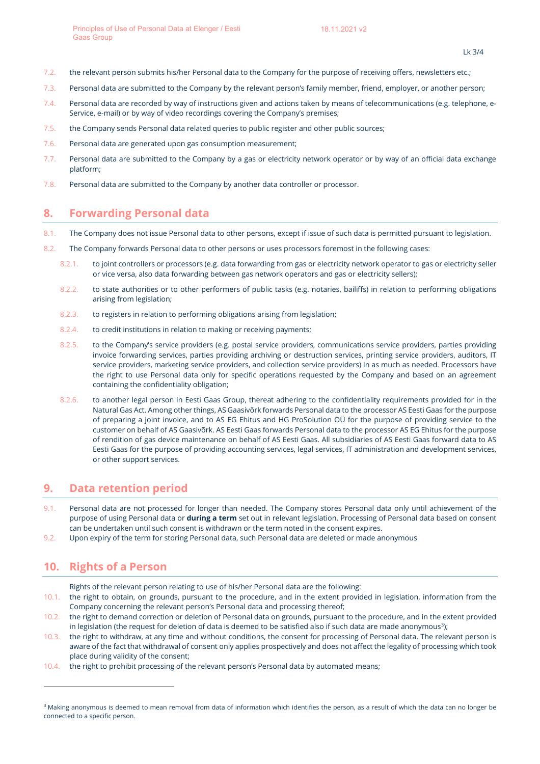- 7.2. the relevant person submits his/her Personal data to the Company for the purpose of receiving offers, newsletters etc.;
- 7.3. Personal data are submitted to the Company by the relevant person's family member, friend, employer, or another person;
- 7.4. Personal data are recorded by way of instructions given and actions taken by means of telecommunications (e.g. telephone, e-Service, e-mail) or by way of video recordings covering the Company's premises;
- 7.5. the Company sends Personal data related queries to public register and other public sources;
- 7.6. Personal data are generated upon gas consumption measurement;
- 7.7. Personal data are submitted to the Company by a gas or electricity network operator or by way of an official data exchange platform;
- 7.8. Personal data are submitted to the Company by another data controller or processor.

### **8. Forwarding Personal data**

- 8.1. The Company does not issue Personal data to other persons, except if issue of such data is permitted pursuant to legislation.
- 8.2. The Company forwards Personal data to other persons or uses processors foremost in the following cases:
	- 8.2.1. to joint controllers or processors (e.g. data forwarding from gas or electricity network operator to gas or electricity seller or vice versa, also data forwarding between gas network operators and gas or electricity sellers);
	- 8.2.2. to state authorities or to other performers of public tasks (e.g. notaries, bailiffs) in relation to performing obligations arising from legislation;
	- 8.2.3. to registers in relation to performing obligations arising from legislation;
	- 8.2.4. to credit institutions in relation to making or receiving payments;
	- 8.2.5. to the Company's service providers (e.g. postal service providers, communications service providers, parties providing invoice forwarding services, parties providing archiving or destruction services, printing service providers, auditors, IT service providers, marketing service providers, and collection service providers) in as much as needed. Processors have the right to use Personal data only for specific operations requested by the Company and based on an agreement containing the confidentiality obligation;
	- 8.2.6. to another legal person in Eesti Gaas Group, thereat adhering to the confidentiality requirements provided for in the Natural Gas Act. Among other things, AS Gaasivõrk forwards Personal data to the processor AS Eesti Gaas for the purpose of preparing a joint invoice, and to AS EG Ehitus and HG ProSolution OÜ for the purpose of providing service to the customer on behalf of AS Gaasivõrk. AS Eesti Gaas forwards Personal data to the processor AS EG Ehitus for the purpose of rendition of gas device maintenance on behalf of AS Eesti Gaas. All subsidiaries of AS Eesti Gaas forward data to AS Eesti Gaas for the purpose of providing accounting services, legal services, IT administration and development services, or other support services.

#### **9. Data retention period**

- 9.1. Personal data are not processed for longer than needed. The Company stores Personal data only until achievement of the purpose of using Personal data or **during a term** set out in relevant legislation. Processing of Personal data based on consent can be undertaken until such consent is withdrawn or the term noted in the consent expires.
- 9.2. Upon expiry of the term for storing Personal data, such Personal data are deleted or made anonymous

### **10. Rights of a Person**

Rights of the relevant person relating to use of his/her Personal data are the following:

- 10.1. the right to obtain, on grounds, pursuant to the procedure, and in the extent provided in legislation, information from the Company concerning the relevant person's Personal data and processing thereof;
- 10.2. the right to demand correction or deletion of Personal data on grounds, pursuant to the procedure, and in the extent provided in legislation (the request for deletion of data is deemed to be satisfied also if such data are made anonymous $^{\text{3}}$  $^{\text{3}}$  $^{\text{3}}$ );
- 10.3. the right to withdraw, at any time and without conditions, the consent for processing of Personal data. The relevant person is aware of the fact that withdrawal of consent only applies prospectively and does not affect the legality of processing which took place during validity of the consent;
- 10.4. the right to prohibit processing of the relevant person's Personal data by automated means;

<span id="page-2-0"></span><sup>&</sup>lt;sup>3</sup> Making anonymous is deemed to mean removal from data of information which identifies the person, as a result of which the data can no longer be connected to a specific person.